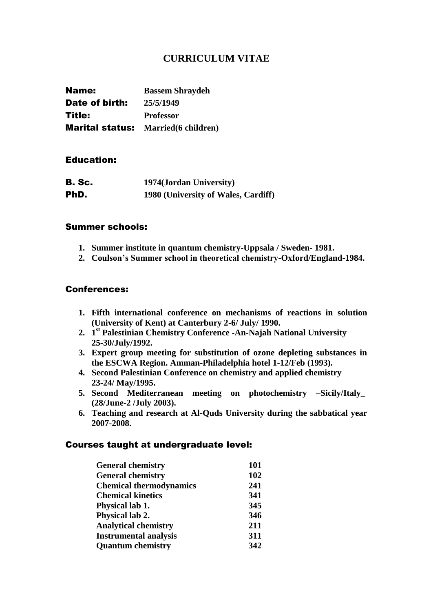# **CURRICULUM VITAE**

| Name:          | <b>Bassem Shraydeh</b>                      |
|----------------|---------------------------------------------|
| Date of birth: | 25/5/1949                                   |
| Title:         | <b>Professor</b>                            |
|                | <b>Marital status:</b> Married (6 children) |

## Education:

| <b>B. Sc.</b> | 1974(Jordan University)             |
|---------------|-------------------------------------|
| PhD.          | 1980 (University of Wales, Cardiff) |

## Summer schools:

- **1. Summer institute in quantum chemistry-Uppsala / Sweden- 1981.**
- **2. Coulson's Summer school in theoretical chemistry-Oxford/England-1984.**

## Conferences:

- **1. Fifth international conference on mechanisms of reactions in solution (University of Kent) at Canterbury 2-6/ July/ 1990.**
- **2. 1 st Palestinian Chemistry Conference -An-Najah National University 25-30/July/1992.**
- **3. Expert group meeting for substitution of ozone depleting substances in the ESCWA Region. Amman-Philadelphia hotel 1-12/Feb (1993).**
- **4. Second Palestinian Conference on chemistry and applied chemistry 23-24/ May/1995.**
- **5. Second Mediterranean meeting on photochemistry –Sicily/Italy\_ (28/June-2 /July 2003).**
- **6. Teaching and research at Al-Quds University during the sabbatical year 2007-2008.**

#### Courses taught at undergraduate level:

| <b>General chemistry</b>       | 101 |
|--------------------------------|-----|
| <b>General chemistry</b>       | 102 |
| <b>Chemical thermodynamics</b> | 241 |
| <b>Chemical kinetics</b>       | 341 |
| Physical lab 1.                | 345 |
| Physical lab 2.                | 346 |
| <b>Analytical chemistry</b>    | 211 |
| <b>Instrumental analysis</b>   | 311 |
| <b>Quantum chemistry</b>       | 342 |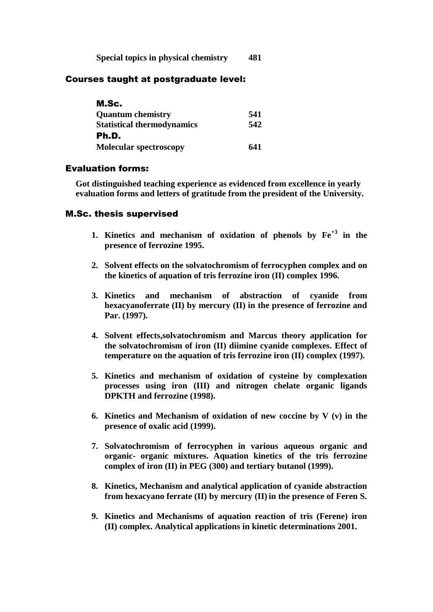**Special topics in physical chemistry 481**

## Courses taught at postgraduate level:

| M.Sc.                             |     |
|-----------------------------------|-----|
| <b>Quantum chemistry</b>          | 541 |
| <b>Statistical thermodynamics</b> | 542 |
| Ph.D.                             |     |
| <b>Molecular spectroscopy</b>     | 641 |

## Evaluation forms:

**Got distinguished teaching experience as evidenced from excellence in yearly evaluation forms and letters of gratitude from the president of the University.**

## M.Sc. thesis supervised

- **1. Kinetics and mechanism of oxidation of phenols by Fe+3 in the presence of ferrozine 1995.**
- **2. Solvent effects on the solvatochromism of ferrocyphen complex and on the kinetics of aquation of tris ferrozine iron (II) complex 1996.**
- **3. Kinetics and mechanism of abstraction of cyanide from hexacyanoferrate (II) by mercury (II) in the presence of ferrozine and Par. (1997).**
- **4. Solvent effects,solvatochromism and Marcus theory application for the solvatochromism of iron (II) diimine cyanide complexes. Effect of temperature on the aquation of tris ferrozine iron (II) complex (1997).**
- **5. Kinetics and mechanism of oxidation of cysteine by complexation processes using iron (III) and nitrogen chelate organic ligands DPKTH and ferrozine (1998).**
- **6. Kinetics and Mechanism of oxidation of new coccine by V (v) in the presence of oxalic acid (1999).**
- **7. Solvatochromism of ferrocyphen in various aqueous organic and organic- organic mixtures. Aquation kinetics of the tris ferrozine complex of iron (II) in PEG (300) and tertiary butanol (1999).**
- **8. Kinetics, Mechanism and analytical application of cyanide abstraction from hexacyano ferrate (II) by mercury (II) in the presence of Feren S.**
- **9. Kinetics and Mechanisms of aquation reaction of tris (Ferene) iron (II) complex. Analytical applications in kinetic determinations 2001.**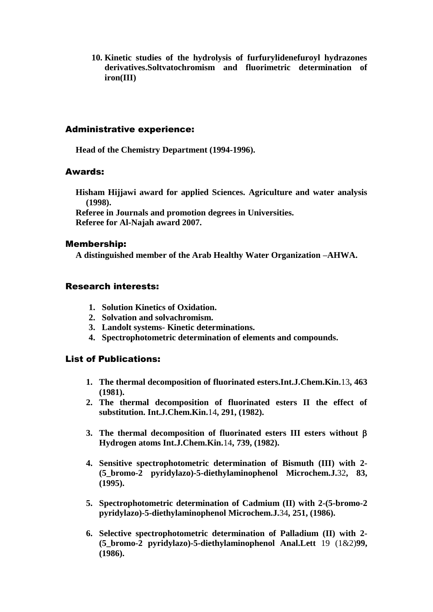**10. Kinetic studies of the hydrolysis of furfurylidenefuroyl hydrazones derivatives.Soltvatochromism and fluorimetric determination of iron(III)**

#### Administrative experience:

**Head of the Chemistry Department (1994-1996).**

#### Awards:

**Hisham Hijjawi award for applied Sciences. Agriculture and water analysis (1998).**

**Referee in Journals and promotion degrees in Universities. Referee for Al-Najah award 2007.**

#### Membership:

**A distinguished member of the Arab Healthy Water Organization –AHWA.**

## Research interests:

- **1. Solution Kinetics of Oxidation.**
- **2. Solvation and solvachromism.**
- **3. Landolt systems- Kinetic determinations.**
- **4. Spectrophotometric determination of elements and compounds.**

#### List of Publications:

- **1. The thermal decomposition of fluorinated esters.Int.J.Chem.Kin.**13**, 463 (1981).**
- **2. The thermal decomposition of fluorinated esters II the effect of substitution. Int.J.Chem.Kin.**14**, 291, (1982).**
- **3.** The thermal decomposition of fluorinated esters III esters without  $\beta$ **Hydrogen atoms Int.J.Chem.Kin.**14**, 739, (1982).**
- **4. Sensitive spectrophotometric determination of Bismuth (III) with 2- (5\_bromo-2 pyridylazo)-5-diethylaminophenol Microchem.J.**32**, 83, (1995).**
- **5. Spectrophotometric determination of Cadmium (II) with 2-(5-bromo-2 pyridylazo)-5-diethylaminophenol Microchem.J.**34**, 251, (1986).**
- **6. Selective spectrophotometric determination of Palladium (II) with 2- (5\_bromo-2 pyridylazo)-5-diethylaminophenol Anal.Lett** 19 (1&2)**99, (1986).**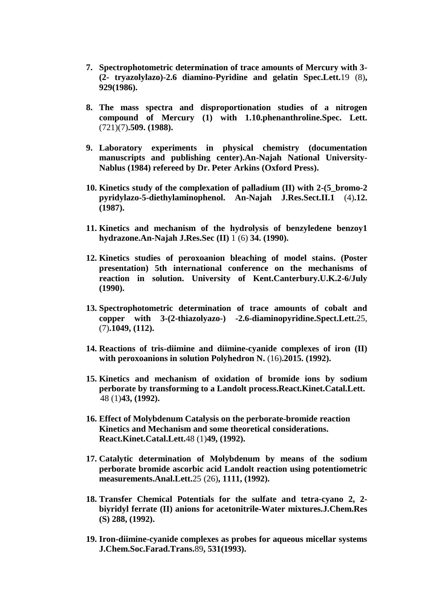- **7. Spectrophotometric determination of trace amounts of Mercury with 3- (2- tryazolylazo)-2.6 diamino-Pyridine and gelatin Spec.Lett.**19 (8)**, 929(1986).**
- **8. The mass spectra and disproportionation studies of a nitrogen compound of Mercury (1) with 1.10.phenanthroline.Spec. Lett.**  (721)(7)**.509. (1988).**
- **9. Laboratory experiments in physical chemistry (documentation manuscripts and publishing center).An-Najah National University-Nablus (1984) refereed by Dr. Peter Arkins (Oxford Press).**
- **10. Kinetics study of the complexation of palladium (II) with 2-(5\_bromo-2 pyridylazo-5-diethylaminophenol. An-Najah J.Res.Sect.II.1** (4)**.12. (1987).**
- **11. Kinetics and mechanism of the hydrolysis of benzyledene benzoy1 hydrazone.An-Najah J.Res.Sec (II)** 1 (6) **34. (1990).**
- **12. Kinetics studies of peroxoanion bleaching of model stains. (Poster presentation) 5th international conference on the mechanisms of reaction in solution. University of Kent.Canterbury.U.K.2-6/July (1990).**
- **13. Spectrophotometric determination of trace amounts of cobalt and copper with 3-(2-thiazolyazo-) -2.6-diaminopyridine.Spect.Lett.**25, (7)**.1049, (112).**
- **14. Reactions of tris-diimine and diimine-cyanide complexes of iron (II) with peroxoanions in solution Polyhedron N.** (16)**.2015. (1992).**
- **15. Kinetics and mechanism of oxidation of bromide ions by sodium perborate by transforming to a Landolt process.React.Kinet.Catal.Lett.** 48 (1)**43, (1992).**
- **16. Effect of Molybdenum Catalysis on the perborate-bromide reaction Kinetics and Mechanism and some theoretical considerations. React.Kinet.Catal.Lett.**48 (1)**49, (1992).**
- **17. Catalytic determination of Molybdenum by means of the sodium perborate bromide ascorbic acid Landolt reaction using potentiometric measurements.Anal.Lett.**25 (26)**, 1111, (1992).**
- **18. Transfer Chemical Potentials for the sulfate and tetra-cyano 2, 2 biyridyl ferrate (II) anions for acetonitrile-Water mixtures.J.Chem.Res (S) 288, (1992).**
- **19. Iron-diimine-cyanide complexes as probes for aqueous micellar systems J.Chem.Soc.Farad.Trans.**89**, 531(1993).**